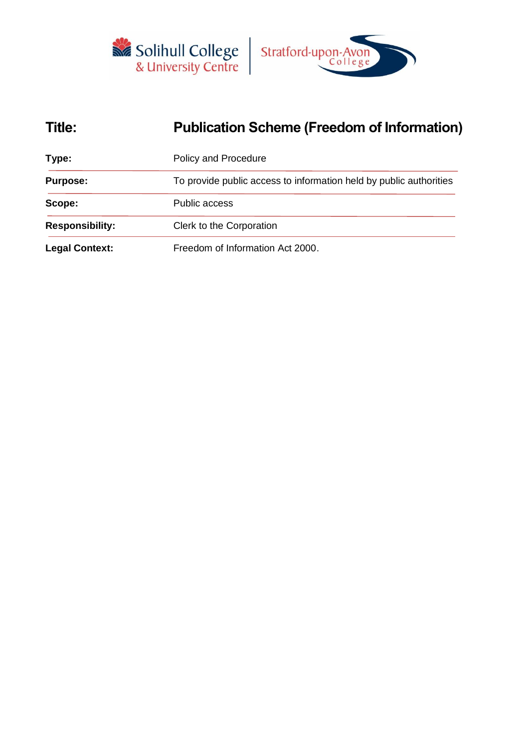



# **Title: Publication Scheme (Freedom of Information)**

| Type:                  | <b>Policy and Procedure</b>                                        |
|------------------------|--------------------------------------------------------------------|
| <b>Purpose:</b>        | To provide public access to information held by public authorities |
| Scope:                 | <b>Public access</b>                                               |
| <b>Responsibility:</b> | Clerk to the Corporation                                           |
| <b>Legal Context:</b>  | Freedom of Information Act 2000.                                   |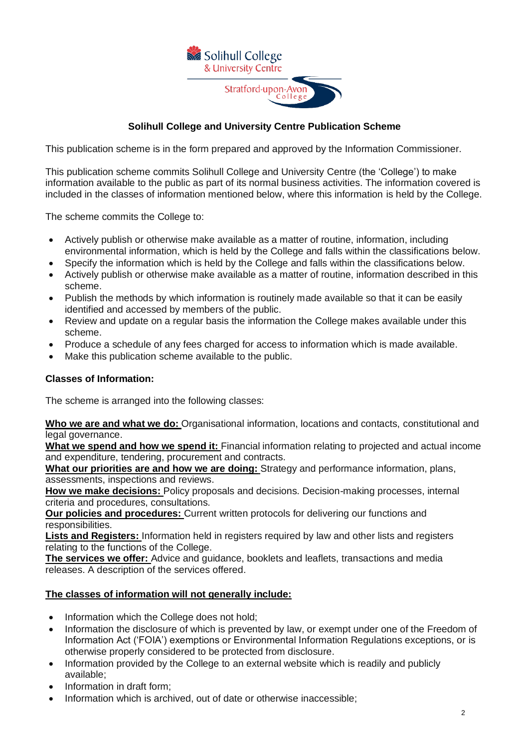

# **Solihull College and University Centre Publication Scheme**

This publication scheme is in the form prepared and approved by the Information Commissioner.

This publication scheme commits Solihull College and University Centre (the 'College') to make information available to the public as part of its normal business activities. The information covered is included in the classes of information mentioned below, where this information is held by the College.

The scheme commits the College to:

- Actively publish or otherwise make available as a matter of routine, information, including environmental information, which is held by the College and falls within the classifications below.
- Specify the information which is held by the College and falls within the classifications below.
- Actively publish or otherwise make available as a matter of routine, information described in this scheme.
- Publish the methods by which information is routinely made available so that it can be easily identified and accessed by members of the public.
- Review and update on a regular basis the information the College makes available under this scheme.
- Produce a schedule of any fees charged for access to information which is made available.
- Make this publication scheme available to the public.

# **Classes of Information:**

The scheme is arranged into the following classes:

**Who we are and what we do:** Organisational information, locations and contacts, constitutional and legal governance.

**What we spend and how we spend it:** Financial information relating to projected and actual income and expenditure, tendering, procurement and contracts.

**What our priorities are and how we are doing:** Strategy and performance information, plans, assessments, inspections and reviews.

**How we make decisions:** Policy proposals and decisions. Decision-making processes, internal criteria and procedures, consultations.

**Our policies and procedures:** Current written protocols for delivering our functions and responsibilities.

**Lists and Registers:** Information held in registers required by law and other lists and registers relating to the functions of the College.

**The services we offer:** Advice and guidance, booklets and leaflets, transactions and media releases. A description of the services offered.

# **The classes of information will not generally include:**

- Information which the College does not hold;
- Information the disclosure of which is prevented by law, or exempt under one of the Freedom of Information Act ('FOIA') exemptions or Environmental Information Regulations exceptions, or is otherwise properly considered to be protected from disclosure.
- Information provided by the College to an external website which is readily and publicly available;
- Information in draft form;
- Information which is archived, out of date or otherwise inaccessible;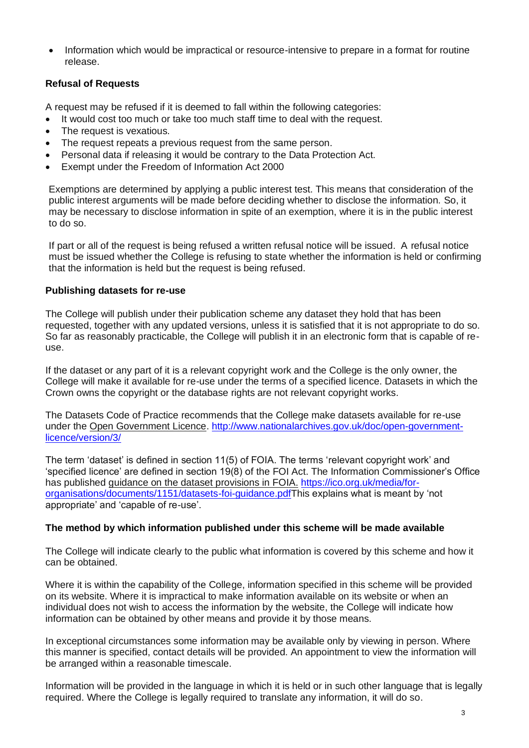• Information which would be impractical or resource-intensive to prepare in a format for routine release.

# **Refusal of Requests**

A request may be refused if it is deemed to fall within the following categories:

- It would cost too much or take too much staff time to deal with the request.
- The request is vexatious.
- The request repeats a previous request from the same person.
- Personal data if releasing it would be contrary to the Data Protection Act.
- Exempt under the Freedom of Information Act 2000

Exemptions are determined by applying a public interest test. This means that consideration of the public interest arguments will be made before deciding whether to disclose the information. So, it may be necessary to disclose information in spite of an exemption, where it is in the public interest to do so.

If part or all of the request is being refused a written refusal notice will be issued. A refusal notice must be issued whether the College is refusing to state whether the information is held or confirming that the information is held but the request is being refused.

# **Publishing datasets for re-use**

The College will publish under their publication scheme any dataset they hold that has been requested, together with any updated versions, unless it is satisfied that it is not appropriate to do so. So far as reasonably practicable, the College will publish it in an electronic form that is capable of reuse.

If the dataset or any part of it is a relevant copyright work and the College is the only owner, the College will make it available for re-use under the terms of a specified licence. Datasets in which the Crown owns the copyright or the database rights are not relevant copyright works.

The Datasets Code of Practice recommends that the College make datasets available for re-use under the Open Government Licence. [http://www.nationalarchives.gov.uk/doc/open-government](http://www.nationalarchives.gov.uk/doc/open-government-licence/version/3/)[licence/version/3/](http://www.nationalarchives.gov.uk/doc/open-government-licence/version/3/)

The term 'dataset' is defined in section 11(5) of FOIA. The terms 'relevant copyright work' and 'specified licence' are defined in section 19(8) of the FOI Act. The Information Commissioner's Office has published guidance on the dataset provisions in FOIA. [https://ico.org.uk/media/for](https://ico.org.uk/media/for-organisations/documents/1151/datasets-foi-guidance.pdf)[organisations/documents/1151/datasets-foi-guidance.pdfT](https://ico.org.uk/media/for-organisations/documents/1151/datasets-foi-guidance.pdf)his explains what is meant by 'not appropriate' and 'capable of re-use'.

# **The method by which information published under this scheme will be made available**

The College will indicate clearly to the public what information is covered by this scheme and how it can be obtained.

Where it is within the capability of the College, information specified in this scheme will be provided on its website. Where it is impractical to make information available on its website or when an individual does not wish to access the information by the website, the College will indicate how information can be obtained by other means and provide it by those means.

In exceptional circumstances some information may be available only by viewing in person. Where this manner is specified, contact details will be provided. An appointment to view the information will be arranged within a reasonable timescale.

Information will be provided in the language in which it is held or in such other language that is legally required. Where the College is legally required to translate any information, it will do so.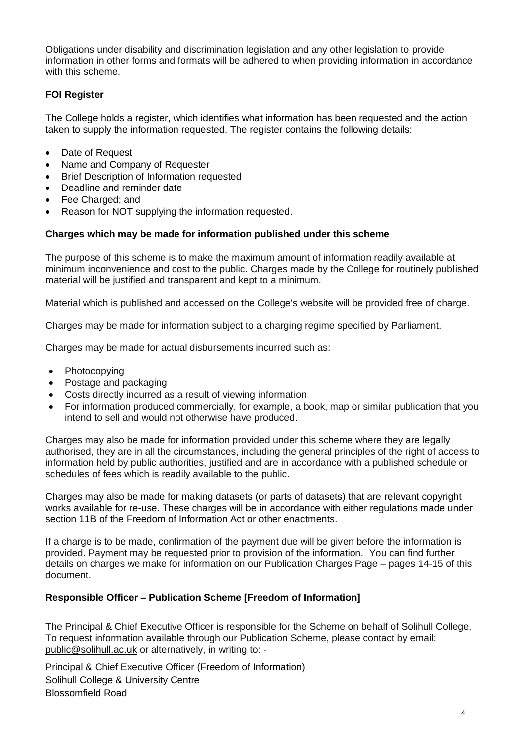Obligations under disability and discrimination legislation and any other legislation to provide information in other forms and formats will be adhered to when providing information in accordance with this scheme.

# **FOI Register**

The College holds a register, which identifies what information has been requested and the action taken to supply the information requested. The register contains the following details:

- Date of Request
- Name and Company of Requester
- Brief Description of Information requested
- Deadline and reminder date
- Fee Charged; and
- Reason for NOT supplying the information requested.

# **Charges which may be made for information published under this scheme**

The purpose of this scheme is to make the maximum amount of information readily available at minimum inconvenience and cost to the public. Charges made by the College for routinely published material will be justified and transparent and kept to a minimum.

Material which is published and accessed on the College's website will be provided free of charge.

Charges may be made for information subject to a charging regime specified by Parliament.

Charges may be made for actual disbursements incurred such as:

- Photocopying
- Postage and packaging
- Costs directly incurred as a result of viewing information
- For information produced commercially, for example, a book, map or similar publication that you intend to sell and would not otherwise have produced.

Charges may also be made for information provided under this scheme where they are legally authorised, they are in all the circumstances, including the general principles of the right of access to information held by public authorities, justified and are in accordance with a published schedule or schedules of fees which is readily available to the public.

Charges may also be made for making datasets (or parts of datasets) that are relevant copyright works available for re-use. These charges will be in accordance with either regulations made under section 11B of the Freedom of Information Act or other enactments.

If a charge is to be made, confirmation of the payment due will be given before the information is provided. Payment may be requested prior to provision of the information. You can find further details on charges we make for information on our Publication Charges Page – pages 14-15 of this document.

# **Responsible Officer – Publication Scheme [Freedom of Information]**

The Principal & Chief Executive Officer is responsible for the Scheme on behalf of Solihull College. To request information available through our Publication Scheme, please contact by email: [public@solihull.ac.uk](mailto:public@solihull.ac.uk) or alternatively, in writing to: -

Principal & Chief Executive Officer (Freedom of Information) Solihull College & University Centre Blossomfield Road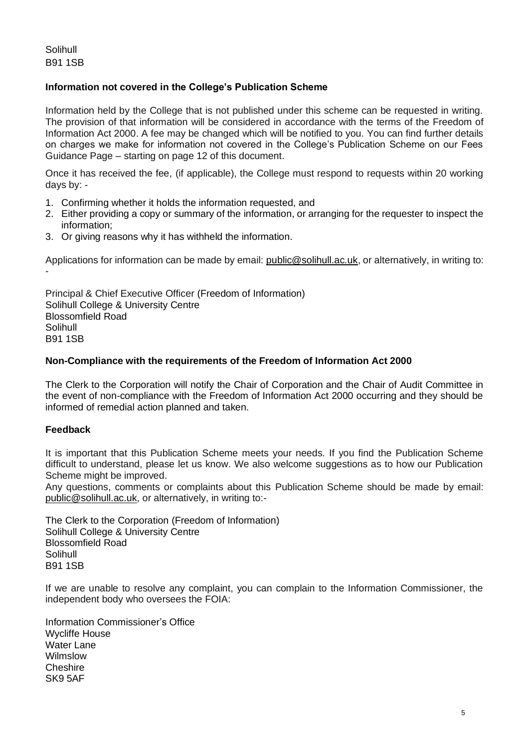Solihull B91 1SB

# **Information not covered in the College's Publication Scheme**

Information held by the College that is not published under this scheme can be requested in writing. The provision of that information will be considered in accordance with the terms of the Freedom of Information Act 2000. A fee may be changed which will be notified to you. You can find further details on charges we make for information not covered in the College's Publication Scheme on our Fees Guidance Page – starting on page 12 of this document.

Once it has received the fee, (if applicable), the College must respond to requests within 20 working days by: -

- 1. Confirming whether it holds the information requested, and
- 2. Either providing a copy or summary of the information, or arranging for the requester to inspect the information;
- 3. Or giving reasons why it has withheld the information.

Applications for information can be made by email: [public@solihull.ac.uk,](mailto:public@solihull.ac.uk) or alternatively, in writing to: -

Principal & Chief Executive Officer (Freedom of Information) Solihull College & University Centre Blossomfield Road Solihull B91 1SB

# **Non-Compliance with the requirements of the Freedom of Information Act 2000**

The Clerk to the Corporation will notify the Chair of Corporation and the Chair of Audit Committee in the event of non-compliance with the Freedom of Information Act 2000 occurring and they should be informed of remedial action planned and taken.

# **Feedback**

It is important that this Publication Scheme meets your needs. If you find the Publication Scheme difficult to understand, please let us know. We also welcome suggestions as to how our Publication Scheme might be improved.

Any questions, comments or complaints about this Publication Scheme should be made by email: [public@solihull.ac.uk,](mailto:public@solihull.ac.uk) or alternatively, in writing to:-

The Clerk to the Corporation (Freedom of Information) Solihull College & University Centre Blossomfield Road Solihull B91 1SB

If we are unable to resolve any complaint, you can complain to the Information Commissioner, the independent body who oversees the FOIA:

Information Commissioner's Office Wycliffe House Water Lane Wilmslow Cheshire SK9 5AF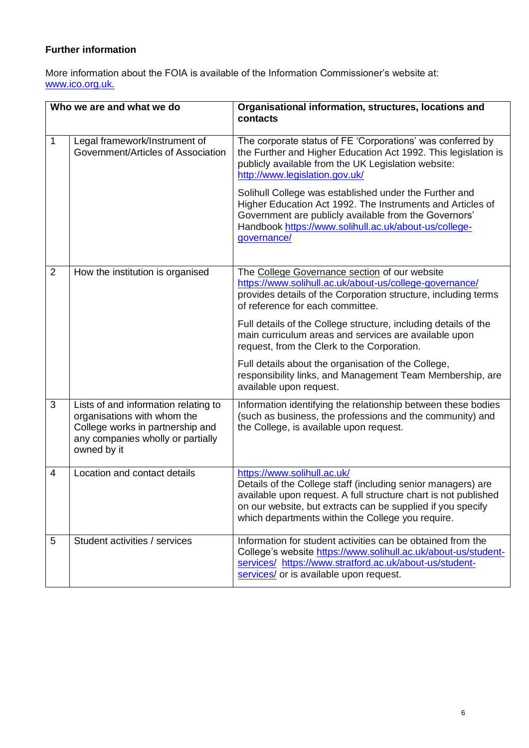# **Further information**

More information about the FOIA is available of the Information Commissioner's website at: [www.ico.org.uk.](http://www.ico.org.uk/)

| Who we are and what we do |                                                                                                                                                             | Organisational information, structures, locations and<br>contacts                                                                                                                                                                                                                  |  |
|---------------------------|-------------------------------------------------------------------------------------------------------------------------------------------------------------|------------------------------------------------------------------------------------------------------------------------------------------------------------------------------------------------------------------------------------------------------------------------------------|--|
| 1                         | Legal framework/Instrument of<br>Government/Articles of Association                                                                                         | The corporate status of FE 'Corporations' was conferred by<br>the Further and Higher Education Act 1992. This legislation is<br>publicly available from the UK Legislation website:<br>http://www.legislation.gov.uk/                                                              |  |
|                           |                                                                                                                                                             | Solihull College was established under the Further and<br>Higher Education Act 1992. The Instruments and Articles of<br>Government are publicly available from the Governors'<br>Handbook https://www.solihull.ac.uk/about-us/college-<br>governance/                              |  |
| $\overline{2}$            | How the institution is organised                                                                                                                            | The College Governance section of our website<br>https://www.solihull.ac.uk/about-us/college-governance/<br>provides details of the Corporation structure, including terms<br>of reference for each committee.                                                                     |  |
|                           |                                                                                                                                                             | Full details of the College structure, including details of the<br>main curriculum areas and services are available upon<br>request, from the Clerk to the Corporation.                                                                                                            |  |
|                           |                                                                                                                                                             | Full details about the organisation of the College,<br>responsibility links, and Management Team Membership, are<br>available upon request.                                                                                                                                        |  |
| 3                         | Lists of and information relating to<br>organisations with whom the<br>College works in partnership and<br>any companies wholly or partially<br>owned by it | Information identifying the relationship between these bodies<br>(such as business, the professions and the community) and<br>the College, is available upon request.                                                                                                              |  |
| 4                         | Location and contact details                                                                                                                                | https://www.solihull.ac.uk/<br>Details of the College staff (including senior managers) are<br>available upon request. A full structure chart is not published<br>on our website, but extracts can be supplied if you specify<br>which departments within the College you require. |  |
| 5                         | Student activities / services                                                                                                                               | Information for student activities can be obtained from the<br>College's website https://www.solihull.ac.uk/about-us/student-<br>services/ https://www.stratford.ac.uk/about-us/student-<br>services/ or is available upon request.                                                |  |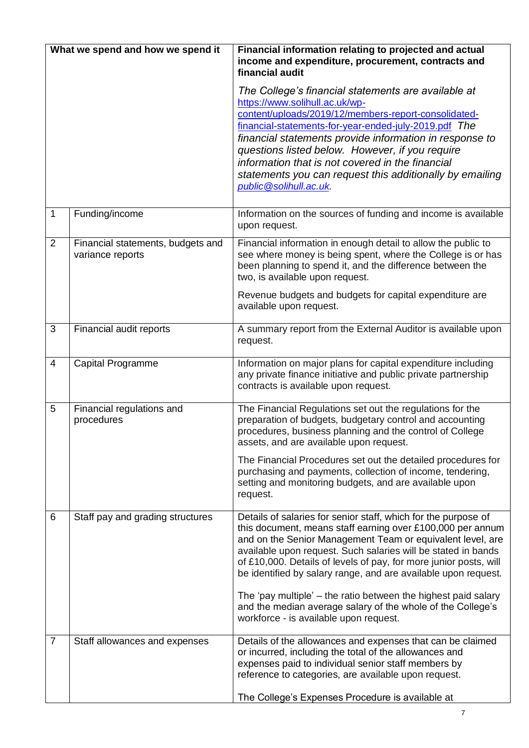| What we spend and how we spend it |                                                       | Financial information relating to projected and actual<br>income and expenditure, procurement, contracts and<br>financial audit                                                                                                                                                                                                                                                                                                                                                                                                                                               |  |  |
|-----------------------------------|-------------------------------------------------------|-------------------------------------------------------------------------------------------------------------------------------------------------------------------------------------------------------------------------------------------------------------------------------------------------------------------------------------------------------------------------------------------------------------------------------------------------------------------------------------------------------------------------------------------------------------------------------|--|--|
|                                   |                                                       | The College's financial statements are available at<br>https://www.solihull.ac.uk/wp-<br>content/uploads/2019/12/members-report-consolidated-<br>financial-statements-for-year-ended-july-2019.pdf The<br>financial statements provide information in response to<br>questions listed below. However, if you require<br>information that is not covered in the financial<br>statements you can request this additionally by emailing<br>public @solihull.ac.uk.                                                                                                               |  |  |
| $\mathbf{1}$                      | Funding/income                                        | Information on the sources of funding and income is available<br>upon request.                                                                                                                                                                                                                                                                                                                                                                                                                                                                                                |  |  |
| $\overline{2}$                    | Financial statements, budgets and<br>variance reports | Financial information in enough detail to allow the public to<br>see where money is being spent, where the College is or has<br>been planning to spend it, and the difference between the<br>two, is available upon request.<br>Revenue budgets and budgets for capital expenditure are<br>available upon request.                                                                                                                                                                                                                                                            |  |  |
| $\mathfrak{B}$                    | Financial audit reports                               | A summary report from the External Auditor is available upon<br>request.                                                                                                                                                                                                                                                                                                                                                                                                                                                                                                      |  |  |
| 4                                 | Capital Programme                                     | Information on major plans for capital expenditure including<br>any private finance initiative and public private partnership<br>contracts is available upon request.                                                                                                                                                                                                                                                                                                                                                                                                         |  |  |
| 5                                 | Financial regulations and<br>procedures               | The Financial Regulations set out the regulations for the<br>preparation of budgets, budgetary control and accounting<br>procedures, business planning and the control of College<br>assets, and are available upon request.<br>The Financial Procedures set out the detailed procedures for<br>purchasing and payments, collection of income, tendering,<br>setting and monitoring budgets, and are available upon<br>request.                                                                                                                                               |  |  |
| 6                                 | Staff pay and grading structures                      | Details of salaries for senior staff, which for the purpose of<br>this document, means staff earning over £100,000 per annum<br>and on the Senior Management Team or equivalent level, are<br>available upon request. Such salaries will be stated in bands<br>of £10,000. Details of levels of pay, for more junior posts, will<br>be identified by salary range, and are available upon request.<br>The 'pay multiple' – the ratio between the highest paid salary<br>and the median average salary of the whole of the College's<br>workforce - is available upon request. |  |  |
| 7                                 | Staff allowances and expenses                         | Details of the allowances and expenses that can be claimed<br>or incurred, including the total of the allowances and<br>expenses paid to individual senior staff members by<br>reference to categories, are available upon request.<br>The College's Expenses Procedure is available at                                                                                                                                                                                                                                                                                       |  |  |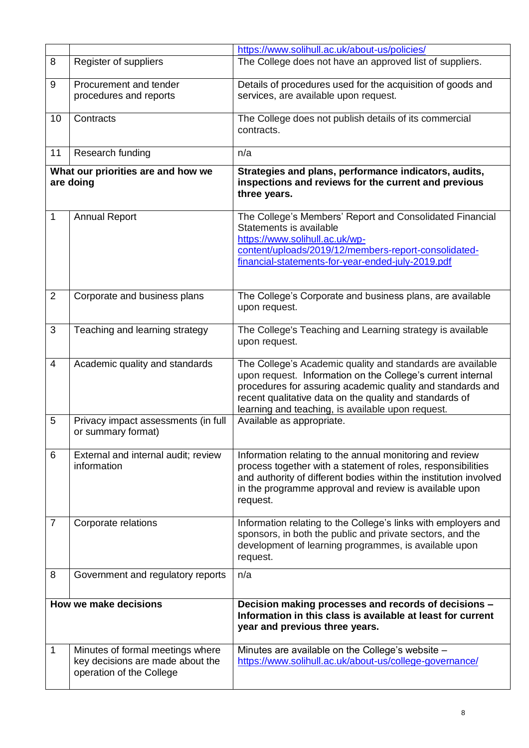|                       |                                                           | https://www.solihull.ac.uk/about-us/policies/                                                                             |  |  |
|-----------------------|-----------------------------------------------------------|---------------------------------------------------------------------------------------------------------------------------|--|--|
| 8                     | Register of suppliers                                     | The College does not have an approved list of suppliers.                                                                  |  |  |
|                       |                                                           |                                                                                                                           |  |  |
| 9                     | Procurement and tender                                    | Details of procedures used for the acquisition of goods and                                                               |  |  |
|                       | procedures and reports                                    | services, are available upon request.                                                                                     |  |  |
| 10                    | Contracts                                                 | The College does not publish details of its commercial                                                                    |  |  |
|                       |                                                           | contracts.                                                                                                                |  |  |
|                       |                                                           |                                                                                                                           |  |  |
| 11                    | Research funding                                          | n/a                                                                                                                       |  |  |
|                       | What our priorities are and how we                        | Strategies and plans, performance indicators, audits,                                                                     |  |  |
| are doing             |                                                           | inspections and reviews for the current and previous<br>three years.                                                      |  |  |
| 1                     | <b>Annual Report</b>                                      | The College's Members' Report and Consolidated Financial                                                                  |  |  |
|                       |                                                           | Statements is available                                                                                                   |  |  |
|                       |                                                           | https://www.solihull.ac.uk/wp-<br>content/uploads/2019/12/members-report-consolidated-                                    |  |  |
|                       |                                                           | financial-statements-for-year-ended-july-2019.pdf                                                                         |  |  |
|                       |                                                           |                                                                                                                           |  |  |
|                       |                                                           |                                                                                                                           |  |  |
| $\overline{2}$        | Corporate and business plans                              | The College's Corporate and business plans, are available                                                                 |  |  |
|                       |                                                           | upon request.                                                                                                             |  |  |
| 3                     | Teaching and learning strategy                            | The College's Teaching and Learning strategy is available                                                                 |  |  |
|                       |                                                           | upon request.                                                                                                             |  |  |
|                       |                                                           |                                                                                                                           |  |  |
| 4                     | Academic quality and standards                            | The College's Academic quality and standards are available<br>upon request. Information on the College's current internal |  |  |
|                       |                                                           | procedures for assuring academic quality and standards and                                                                |  |  |
|                       |                                                           | recent qualitative data on the quality and standards of                                                                   |  |  |
|                       |                                                           | learning and teaching, is available upon request.                                                                         |  |  |
| 5                     | Privacy impact assessments (in full<br>or summary format) | Available as appropriate.                                                                                                 |  |  |
|                       |                                                           |                                                                                                                           |  |  |
| 6                     | External and internal audit; review                       | Information relating to the annual monitoring and review                                                                  |  |  |
|                       | information                                               | process together with a statement of roles, responsibilities                                                              |  |  |
|                       |                                                           | and authority of different bodies within the institution involved                                                         |  |  |
|                       |                                                           | in the programme approval and review is available upon<br>request.                                                        |  |  |
|                       |                                                           |                                                                                                                           |  |  |
| $\overline{7}$        | Corporate relations                                       | Information relating to the College's links with employers and                                                            |  |  |
|                       |                                                           | sponsors, in both the public and private sectors, and the<br>development of learning programmes, is available upon        |  |  |
|                       |                                                           | request.                                                                                                                  |  |  |
| 8                     |                                                           | n/a                                                                                                                       |  |  |
|                       | Government and regulatory reports                         |                                                                                                                           |  |  |
|                       |                                                           |                                                                                                                           |  |  |
| How we make decisions |                                                           | Decision making processes and records of decisions -<br>Information in this class is available at least for current       |  |  |
|                       |                                                           | year and previous three years.                                                                                            |  |  |
| 1                     | Minutes of formal meetings where                          | Minutes are available on the College's website -                                                                          |  |  |
|                       | key decisions are made about the                          | https://www.solihull.ac.uk/about-us/college-governance/                                                                   |  |  |
|                       | operation of the College                                  |                                                                                                                           |  |  |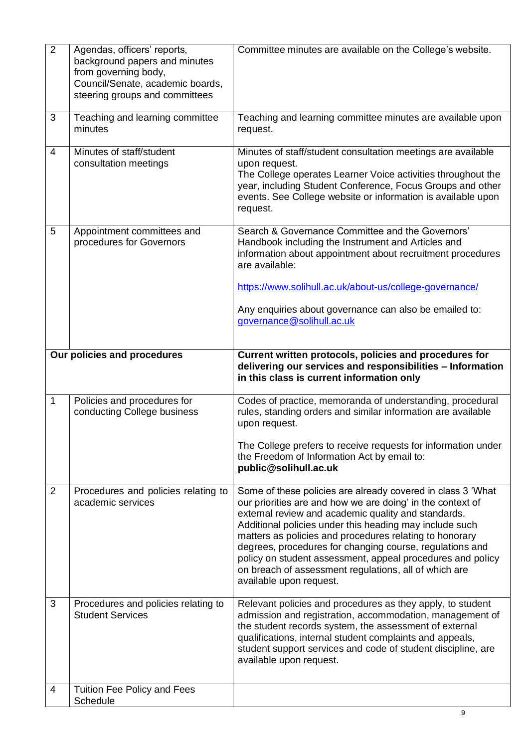| $\overline{2}$              | Agendas, officers' reports,<br>background papers and minutes<br>from governing body,<br>Council/Senate, academic boards,<br>steering groups and committees | Committee minutes are available on the College's website.                                                                                                                                                                                                                                                                                                                                                                                                                                                            |  |
|-----------------------------|------------------------------------------------------------------------------------------------------------------------------------------------------------|----------------------------------------------------------------------------------------------------------------------------------------------------------------------------------------------------------------------------------------------------------------------------------------------------------------------------------------------------------------------------------------------------------------------------------------------------------------------------------------------------------------------|--|
| 3                           | Teaching and learning committee<br>minutes                                                                                                                 | Teaching and learning committee minutes are available upon<br>request.                                                                                                                                                                                                                                                                                                                                                                                                                                               |  |
| $\overline{4}$              | Minutes of staff/student<br>consultation meetings                                                                                                          | Minutes of staff/student consultation meetings are available<br>upon request.<br>The College operates Learner Voice activities throughout the<br>year, including Student Conference, Focus Groups and other<br>events. See College website or information is available upon<br>request.                                                                                                                                                                                                                              |  |
| 5                           | Appointment committees and<br>procedures for Governors                                                                                                     | Search & Governance Committee and the Governors'<br>Handbook including the Instrument and Articles and<br>information about appointment about recruitment procedures<br>are available:<br>https://www.solihull.ac.uk/about-us/college-governance/<br>Any enquiries about governance can also be emailed to:<br>governance@solihull.ac.uk                                                                                                                                                                             |  |
|                             |                                                                                                                                                            |                                                                                                                                                                                                                                                                                                                                                                                                                                                                                                                      |  |
| Our policies and procedures |                                                                                                                                                            | Current written protocols, policies and procedures for<br>delivering our services and responsibilities - Information<br>in this class is current information only                                                                                                                                                                                                                                                                                                                                                    |  |
| $\mathbf{1}$                | Policies and procedures for<br>conducting College business                                                                                                 | Codes of practice, memoranda of understanding, procedural<br>rules, standing orders and similar information are available<br>upon request.<br>The College prefers to receive requests for information under<br>the Freedom of Information Act by email to:<br>public@solihull.ac.uk                                                                                                                                                                                                                                  |  |
| 2                           | Procedures and policies relating to<br>academic services                                                                                                   | Some of these policies are already covered in class 3 'What<br>our priorities are and how we are doing' in the context of<br>external review and academic quality and standards.<br>Additional policies under this heading may include such<br>matters as policies and procedures relating to honorary<br>degrees, procedures for changing course, regulations and<br>policy on student assessment, appeal procedures and policy<br>on breach of assessment regulations, all of which are<br>available upon request. |  |
| 3                           | Procedures and policies relating to<br><b>Student Services</b>                                                                                             | Relevant policies and procedures as they apply, to student<br>admission and registration, accommodation, management of<br>the student records system, the assessment of external<br>qualifications, internal student complaints and appeals,<br>student support services and code of student discipline, are<br>available upon request.                                                                                                                                                                              |  |
| 4                           | Tuition Fee Policy and Fees<br>Schedule                                                                                                                    |                                                                                                                                                                                                                                                                                                                                                                                                                                                                                                                      |  |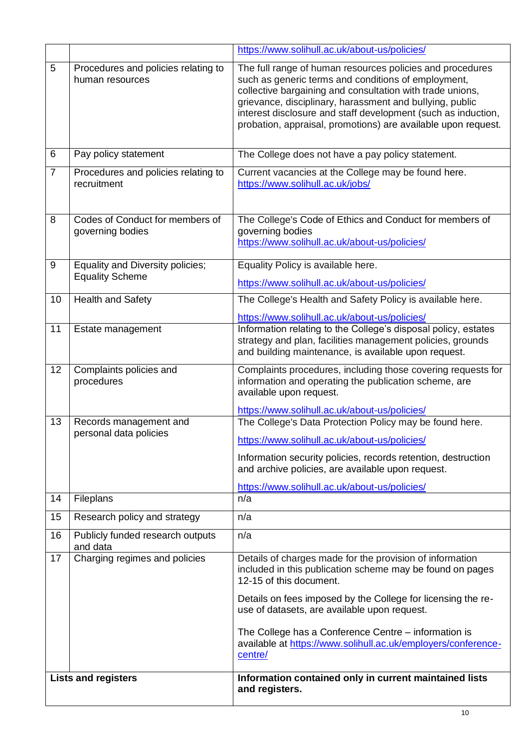|                            |                                                            | https://www.solihull.ac.uk/about-us/policies/                                                                                                                                                                                                                                                                                                                                                        |  |
|----------------------------|------------------------------------------------------------|------------------------------------------------------------------------------------------------------------------------------------------------------------------------------------------------------------------------------------------------------------------------------------------------------------------------------------------------------------------------------------------------------|--|
| 5                          | Procedures and policies relating to<br>human resources     | The full range of human resources policies and procedures<br>such as generic terms and conditions of employment,<br>collective bargaining and consultation with trade unions,<br>grievance, disciplinary, harassment and bullying, public<br>interest disclosure and staff development (such as induction,<br>probation, appraisal, promotions) are available upon request.                          |  |
| 6                          | Pay policy statement                                       | The College does not have a pay policy statement.                                                                                                                                                                                                                                                                                                                                                    |  |
| $\overline{7}$             | Procedures and policies relating to<br>recruitment         | Current vacancies at the College may be found here.<br>https://www.solihull.ac.uk/jobs/                                                                                                                                                                                                                                                                                                              |  |
| 8                          | Codes of Conduct for members of<br>governing bodies        | The College's Code of Ethics and Conduct for members of<br>governing bodies<br>https://www.solihull.ac.uk/about-us/policies/                                                                                                                                                                                                                                                                         |  |
| 9                          | Equality and Diversity policies;<br><b>Equality Scheme</b> | Equality Policy is available here.<br>https://www.solihull.ac.uk/about-us/policies/                                                                                                                                                                                                                                                                                                                  |  |
| 10                         | <b>Health and Safety</b>                                   | The College's Health and Safety Policy is available here.<br>https://www.solihull.ac.uk/about-us/policies/                                                                                                                                                                                                                                                                                           |  |
| 11                         | Estate management                                          | Information relating to the College's disposal policy, estates<br>strategy and plan, facilities management policies, grounds<br>and building maintenance, is available upon request.                                                                                                                                                                                                                 |  |
| 12                         | Complaints policies and<br>procedures                      | Complaints procedures, including those covering requests for<br>information and operating the publication scheme, are<br>available upon request.                                                                                                                                                                                                                                                     |  |
| 13                         | Records management and<br>personal data policies           | https://www.solihull.ac.uk/about-us/policies/<br>The College's Data Protection Policy may be found here.<br>https://www.solihull.ac.uk/about-us/policies/<br>Information security policies, records retention, destruction<br>and archive policies, are available upon request.<br>https://www.solihull.ac.uk/about-us/policies/                                                                     |  |
| 14                         | <b>Fileplans</b>                                           | n/a                                                                                                                                                                                                                                                                                                                                                                                                  |  |
| 15                         | Research policy and strategy                               | n/a                                                                                                                                                                                                                                                                                                                                                                                                  |  |
| 16                         | Publicly funded research outputs<br>and data               | n/a                                                                                                                                                                                                                                                                                                                                                                                                  |  |
| 17                         | Charging regimes and policies                              | Details of charges made for the provision of information<br>included in this publication scheme may be found on pages<br>12-15 of this document.<br>Details on fees imposed by the College for licensing the re-<br>use of datasets, are available upon request.<br>The College has a Conference Centre - information is<br>available at https://www.solihull.ac.uk/employers/conference-<br>centre/ |  |
| <b>Lists and registers</b> |                                                            | Information contained only in current maintained lists<br>and registers.                                                                                                                                                                                                                                                                                                                             |  |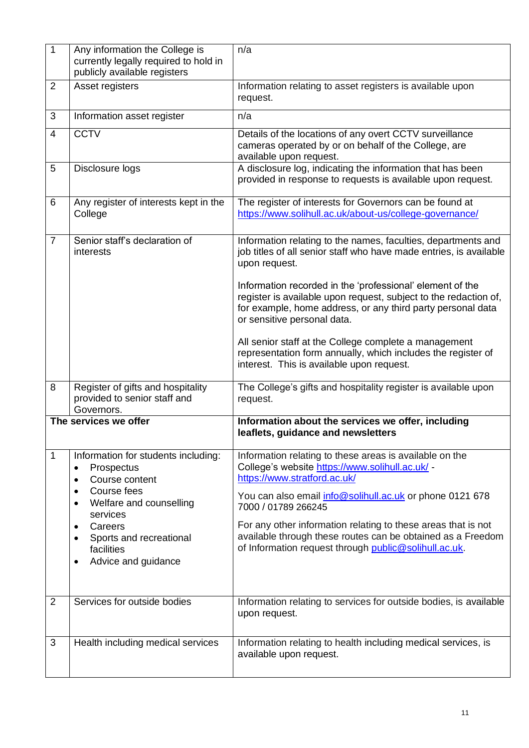| $\mathbf{1}$   | Any information the College is<br>currently legally required to hold in<br>publicly available registers | n/a                                                                                                                                                                                                                         |  |
|----------------|---------------------------------------------------------------------------------------------------------|-----------------------------------------------------------------------------------------------------------------------------------------------------------------------------------------------------------------------------|--|
| $\overline{2}$ | Asset registers                                                                                         | Information relating to asset registers is available upon<br>request.                                                                                                                                                       |  |
| 3              | Information asset register                                                                              | n/a                                                                                                                                                                                                                         |  |
| 4              | <b>CCTV</b>                                                                                             | Details of the locations of any overt CCTV surveillance<br>cameras operated by or on behalf of the College, are<br>available upon request.                                                                                  |  |
| 5              | Disclosure logs                                                                                         | A disclosure log, indicating the information that has been<br>provided in response to requests is available upon request.                                                                                                   |  |
| 6              | Any register of interests kept in the<br>College                                                        | The register of interests for Governors can be found at<br>https://www.solihull.ac.uk/about-us/college-governance/                                                                                                          |  |
| $\overline{7}$ | Senior staff's declaration of<br>interests                                                              | Information relating to the names, faculties, departments and<br>job titles of all senior staff who have made entries, is available<br>upon request.                                                                        |  |
|                |                                                                                                         | Information recorded in the 'professional' element of the<br>register is available upon request, subject to the redaction of,<br>for example, home address, or any third party personal data<br>or sensitive personal data. |  |
|                |                                                                                                         | All senior staff at the College complete a management<br>representation form annually, which includes the register of<br>interest. This is available upon request.                                                          |  |
| 8              | Register of gifts and hospitality<br>provided to senior staff and<br>Governors.                         | The College's gifts and hospitality register is available upon<br>request.                                                                                                                                                  |  |
|                | The services we offer                                                                                   | Information about the services we offer, including<br>leaflets, guidance and newsletters                                                                                                                                    |  |
| $\mathbf{1}$   | Information for students including:<br>Prospectus<br>٠<br>Course content                                | Information relating to these areas is available on the<br>College's website https://www.solihull.ac.uk/ -<br>https://www.stratford.ac.uk/                                                                                  |  |
|                | Course fees<br>$\bullet$<br>Welfare and counselling<br>$\bullet$<br>services                            | You can also email <i>info@solihull.ac.uk</i> or phone 0121 678<br>7000 / 01789 266245                                                                                                                                      |  |
|                | Careers<br>Sports and recreational<br>facilities<br>Advice and guidance<br>$\bullet$                    | For any other information relating to these areas that is not<br>available through these routes can be obtained as a Freedom<br>of Information request through public@solihull.ac.uk.                                       |  |
| $\overline{2}$ | Services for outside bodies                                                                             | Information relating to services for outside bodies, is available<br>upon request.                                                                                                                                          |  |
| 3              | Health including medical services                                                                       | Information relating to health including medical services, is<br>available upon request.                                                                                                                                    |  |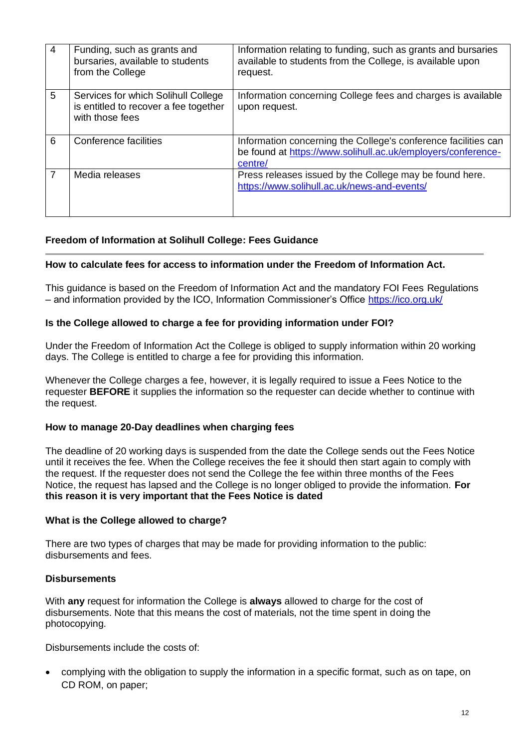| 4 | Funding, such as grants and<br>bursaries, available to students<br>from the College             | Information relating to funding, such as grants and bursaries<br>available to students from the College, is available upon<br>request.    |
|---|-------------------------------------------------------------------------------------------------|-------------------------------------------------------------------------------------------------------------------------------------------|
| 5 | Services for which Solihull College<br>is entitled to recover a fee together<br>with those fees | Information concerning College fees and charges is available<br>upon request.                                                             |
| 6 | Conference facilities                                                                           | Information concerning the College's conference facilities can<br>be found at https://www.solihull.ac.uk/employers/conference-<br>centre/ |
| 7 | Media releases                                                                                  | Press releases issued by the College may be found here.<br>https://www.solihull.ac.uk/news-and-events/                                    |

# **Freedom of Information at Solihull College: Fees Guidance**

# **How to calculate fees for access to information under the Freedom of Information Act.**

This guidance is based on the Freedom of Information Act and the mandatory FOI Fees Regulations – and information provided by the ICO, Information Commissioner's Office<https://ico.org.uk/>

#### **Is the College allowed to charge a fee for providing information under FOI?**

Under the Freedom of Information Act the College is obliged to supply information within 20 working days. The College is entitled to charge a fee for providing this information.

Whenever the College charges a fee, however, it is legally required to issue a Fees Notice to the requester **BEFORE** it supplies the information so the requester can decide whether to continue with the request.

# **How to manage 20-Day deadlines when charging fees**

The deadline of 20 working days is suspended from the date the College sends out the Fees Notice until it receives the fee. When the College receives the fee it should then start again to comply with the request. If the requester does not send the College the fee within three months of the Fees Notice, the request has lapsed and the College is no longer obliged to provide the information. **For this reason it is very important that the Fees Notice is dated**

#### **What is the College allowed to charge?**

There are two types of charges that may be made for providing information to the public: disbursements and fees.

# **Disbursements**

With **any** request for information the College is **always** allowed to charge for the cost of disbursements. Note that this means the cost of materials, not the time spent in doing the photocopying.

Disbursements include the costs of:

• complying with the obligation to supply the information in a specific format, such as on tape, on CD ROM, on paper;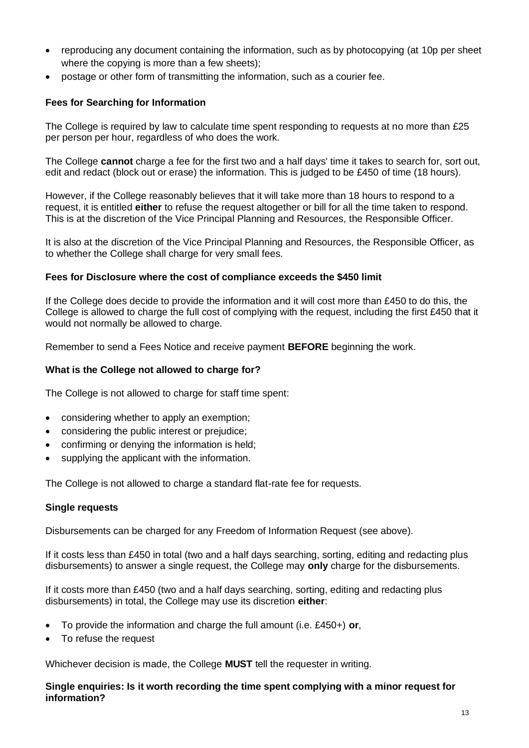- reproducing any document containing the information, such as by photocopying (at 10p per sheet where the copying is more than a few sheets);
- postage or other form of transmitting the information, such as a courier fee.

# **Fees for Searching for Information**

The College is required by law to calculate time spent responding to requests at no more than £25 per person per hour, regardless of who does the work.

The College **cannot** charge a fee for the first two and a half days' time it takes to search for, sort out, edit and redact (block out or erase) the information. This is judged to be £450 of time (18 hours).

However, if the College reasonably believes that it will take more than 18 hours to respond to a request, it is entitled **either** to refuse the request altogether or bill for all the time taken to respond. This is at the discretion of the Vice Principal Planning and Resources, the Responsible Officer.

It is also at the discretion of the Vice Principal Planning and Resources, the Responsible Officer, as to whether the College shall charge for very small fees.

# **Fees for Disclosure where the cost of compliance exceeds the \$450 limit**

If the College does decide to provide the information and it will cost more than £450 to do this, the College is allowed to charge the full cost of complying with the request, including the first £450 that it would not normally be allowed to charge.

Remember to send a Fees Notice and receive payment **BEFORE** beginning the work.

# **What is the College not allowed to charge for?**

The College is not allowed to charge for staff time spent:

- considering whether to apply an exemption;
- considering the public interest or prejudice;
- confirming or denying the information is held;
- supplying the applicant with the information.

The College is not allowed to charge a standard flat-rate fee for requests.

#### **Single requests**

Disbursements can be charged for any Freedom of Information Request (see above).

If it costs less than £450 in total (two and a half days searching, sorting, editing and redacting plus disbursements) to answer a single request, the College may **only** charge for the disbursements.

If it costs more than £450 (two and a half days searching, sorting, editing and redacting plus disbursements) in total, the College may use its discretion **either**:

- To provide the information and charge the full amount (i.e. £450+) **or**,
- To refuse the request

Whichever decision is made, the College **MUST** tell the requester in writing.

**Single enquiries: Is it worth recording the time spent complying with a minor request for information?**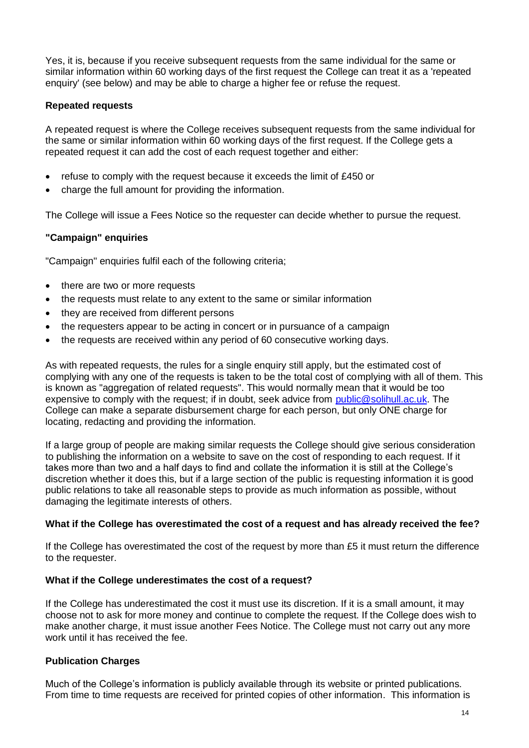Yes, it is, because if you receive subsequent requests from the same individual for the same or similar information within 60 working days of the first request the College can treat it as a 'repeated enquiry' (see below) and may be able to charge a higher fee or refuse the request.

### **Repeated requests**

A repeated request is where the College receives subsequent requests from the same individual for the same or similar information within 60 working days of the first request. If the College gets a repeated request it can add the cost of each request together and either:

- refuse to comply with the request because it exceeds the limit of £450 or
- charge the full amount for providing the information.

The College will issue a Fees Notice so the requester can decide whether to pursue the request.

# **"Campaign" enquiries**

"Campaign" enquiries fulfil each of the following criteria;

- there are two or more requests
- the requests must relate to any extent to the same or similar information
- they are received from different persons
- the requesters appear to be acting in concert or in pursuance of a campaign
- the requests are received within any period of 60 consecutive working days.

As with repeated requests, the rules for a single enquiry still apply, but the estimated cost of complying with any one of the requests is taken to be the total cost of complying with all of them. This is known as "aggregation of related requests". This would normally mean that it would be too expensive to comply with the request; if in doubt, seek advice from [public@solihull.ac.uk.](mailto:public@solihull.ac.uk) The College can make a separate disbursement charge for each person, but only ONE charge for locating, redacting and providing the information.

If a large group of people are making similar requests the College should give serious consideration to publishing the information on a website to save on the cost of responding to each request. If it takes more than two and a half days to find and collate the information it is still at the College's discretion whether it does this, but if a large section of the public is requesting information it is good public relations to take all reasonable steps to provide as much information as possible, without damaging the legitimate interests of others.

#### **What if the College has overestimated the cost of a request and has already received the fee?**

If the College has overestimated the cost of the request by more than £5 it must return the difference to the requester.

#### **What if the College underestimates the cost of a request?**

If the College has underestimated the cost it must use its discretion. If it is a small amount, it may choose not to ask for more money and continue to complete the request. If the College does wish to make another charge, it must issue another Fees Notice. The College must not carry out any more work until it has received the fee.

# **Publication Charges**

Much of the College's information is publicly available through its website or printed publications. From time to time requests are received for printed copies of other information. This information is